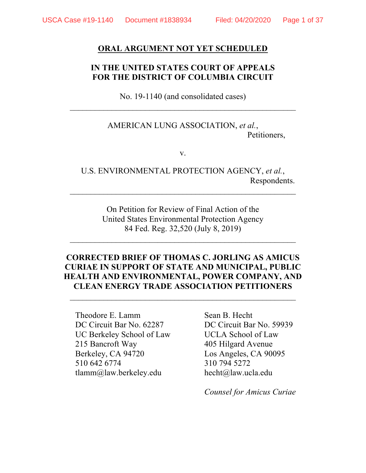#### **ORAL ARGUMENT NOT YET SCHEDULED**

### **IN THE UNITED STATES COURT OF APPEALS FOR THE DISTRICT OF COLUMBIA CIRCUIT**

No. 19-1140 (and consolidated cases)  $\mathcal{L}_\text{max}$  , and the contract of the contract of the contract of the contract of the contract of the contract of the contract of the contract of the contract of the contract of the contract of the contract of the contr

> AMERICAN LUNG ASSOCIATION, *et al.*, Petitioners,

> > v.

U.S. ENVIRONMENTAL PROTECTION AGENCY, *et al.*, Respondents.

> On Petition for Review of Final Action of the United States Environmental Protection Agency 84 Fed. Reg. 32,520 (July 8, 2019)

 $\mathcal{L}_\text{max}$  , and the contract of the contract of the contract of the contract of the contract of the contract of the contract of the contract of the contract of the contract of the contract of the contract of the contr

## **CORRECTED BRIEF OF THOMAS C. JORLING AS AMICUS CURIAE IN SUPPORT OF STATE AND MUNICIPAL, PUBLIC HEALTH AND ENVIRONMENTAL, POWER COMPANY, AND CLEAN ENERGY TRADE ASSOCIATION PETITIONERS**

 $\mathcal{L}_\text{max}$  , and the contract of the contract of the contract of the contract of the contract of the contract of the contract of the contract of the contract of the contract of the contract of the contract of the contr

Theodore E. Lamm Sean B. Hecht DC Circuit Bar No. 62287 DC Circuit Bar No. 59939 UC Berkeley School of Law UCLA School of Law 215 Bancroft Way 405 Hilgard Avenue Berkeley, CA 94720 Los Angeles, CA 90095 510 642 6774 310 794 5272 tlamm@law.berkeley.edu hecht@law.ucla.edu

*Counsel for Amicus Curiae*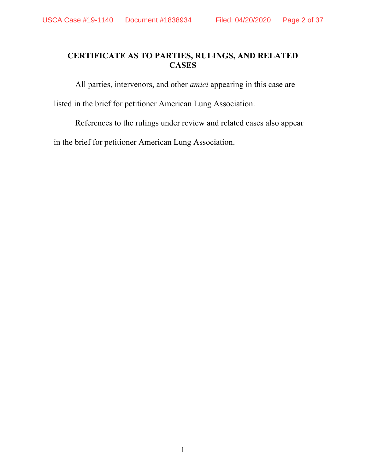# **CERTIFICATE AS TO PARTIES, RULINGS, AND RELATED CASES**

All parties, intervenors, and other *amici* appearing in this case are

listed in the brief for petitioner American Lung Association.

References to the rulings under review and related cases also appear

in the brief for petitioner American Lung Association.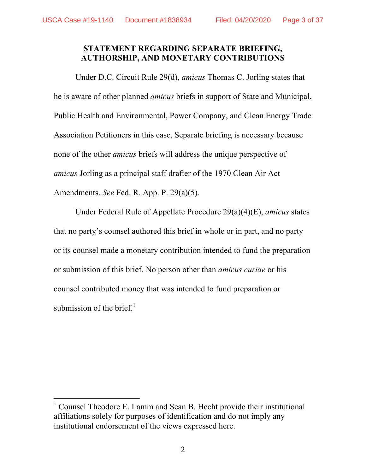#### **STATEMENT REGARDING SEPARATE BRIEFING, AUTHORSHIP, AND MONETARY CONTRIBUTIONS**

Under D.C. Circuit Rule 29(d), *amicus* Thomas C. Jorling states that he is aware of other planned *amicus* briefs in support of State and Municipal, Public Health and Environmental, Power Company, and Clean Energy Trade Association Petitioners in this case. Separate briefing is necessary because none of the other *amicus* briefs will address the unique perspective of *amicus* Jorling as a principal staff drafter of the 1970 Clean Air Act Amendments. *See* Fed. R. App. P. 29(a)(5).

Under Federal Rule of Appellate Procedure 29(a)(4)(E), *amicus* states that no party's counsel authored this brief in whole or in part, and no party or its counsel made a monetary contribution intended to fund the preparation or submission of this brief. No person other than *amicus curiae* or his counsel contributed money that was intended to fund preparation or submission of the brief. $<sup>1</sup>$ </sup>

 <sup>1</sup> Counsel Theodore E. Lamm and Sean B. Hecht provide their institutional affiliations solely for purposes of identification and do not imply any institutional endorsement of the views expressed here.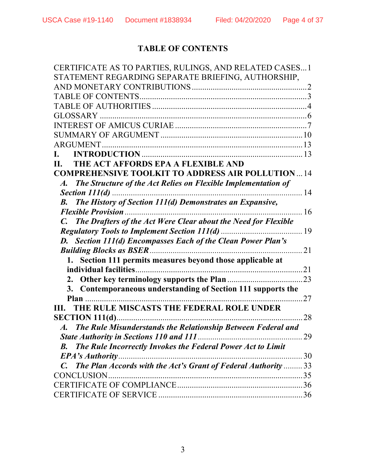# **TABLE OF CONTENTS**

| CERTIFICATE AS TO PARTIES, RULINGS, AND RELATED CASES 1                           |    |
|-----------------------------------------------------------------------------------|----|
| STATEMENT REGARDING SEPARATE BRIEFING, AUTHORSHIP,                                |    |
|                                                                                   |    |
|                                                                                   |    |
|                                                                                   |    |
|                                                                                   |    |
|                                                                                   |    |
|                                                                                   |    |
| <b>ARGUMENT</b>                                                                   |    |
|                                                                                   |    |
| THE ACT AFFORDS EPA A FLEXIBLE AND<br>II.                                         |    |
| <b>COMPREHENSIVE TOOLKIT TO ADDRESS AIR POLLUTION14</b>                           |    |
| A. The Structure of the Act Relies on Flexible Implementation of                  |    |
|                                                                                   |    |
| <b>B.</b> The History of Section 111(d) Demonstrates an Expansive,                |    |
| . 16<br><b>Flexible Provision</b>                                                 |    |
| The Drafters of the Act Were Clear about the Need for Flexible<br>$\mathcal{C}$ . |    |
|                                                                                   |    |
| <b>D.</b> Section 111(d) Encompasses Each of the Clean Power Plan's               |    |
|                                                                                   | 21 |
| 1. Section 111 permits measures beyond those applicable at                        |    |
|                                                                                   |    |
|                                                                                   |    |
| Contemporaneous understanding of Section 111 supports the<br>3.                   |    |
|                                                                                   |    |
| THE RULE MISCASTS THE FEDERAL ROLE UNDER<br>III.                                  |    |
|                                                                                   | 28 |
| A. The Rule Misunderstands the Relationship Between Federal and                   |    |
| <b>State Authority in Sections 110 and 111 </b>                                   | 29 |
| The Rule Incorrectly Invokes the Federal Power Act to Limit<br><b>B.</b>          |    |
| <b>EPA's Authority</b><br>. 30                                                    |    |
| C. The Plan Accords with the Act's Grant of Federal Authority  33                 |    |
| <b>CONCLUSION</b>                                                                 |    |
|                                                                                   |    |
|                                                                                   |    |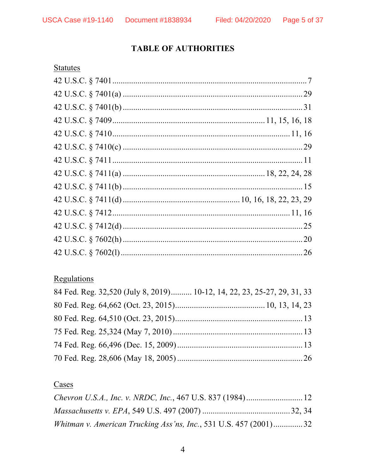# **TABLE OF AUTHORITIES**

# **Statutes**

# Regulations

| 84 Fed. Reg. 32,520 (July 8, 2019) 10-12, 14, 22, 23, 25-27, 29, 31, 33 |
|-------------------------------------------------------------------------|
|                                                                         |
|                                                                         |
|                                                                         |
|                                                                         |
|                                                                         |

# Cases

| Whitman v. American Trucking Ass'ns, Inc., 531 U.S. 457 $(2001)$ 32 |  |
|---------------------------------------------------------------------|--|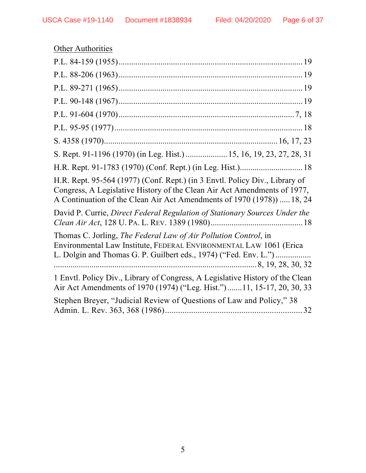| <b>Other Authorities</b>                                                                                                                                                                                                          |  |  |
|-----------------------------------------------------------------------------------------------------------------------------------------------------------------------------------------------------------------------------------|--|--|
|                                                                                                                                                                                                                                   |  |  |
|                                                                                                                                                                                                                                   |  |  |
|                                                                                                                                                                                                                                   |  |  |
|                                                                                                                                                                                                                                   |  |  |
|                                                                                                                                                                                                                                   |  |  |
|                                                                                                                                                                                                                                   |  |  |
|                                                                                                                                                                                                                                   |  |  |
| S. Rept. 91-1196 (1970) (in Leg. Hist.)  15, 16, 19, 23, 27, 28, 31                                                                                                                                                               |  |  |
|                                                                                                                                                                                                                                   |  |  |
| H.R. Rept. 95-564 (1977) (Conf. Rept.) (in 3 Envtl. Policy Div., Library of<br>Congress, A Legislative History of the Clean Air Act Amendments of 1977,<br>A Continuation of the Clean Air Act Amendments of 1970 (1978))  18, 24 |  |  |
| David P. Currie, Direct Federal Regulation of Stationary Sources Under the                                                                                                                                                        |  |  |
| Thomas C. Jorling, The Federal Law of Air Pollution Control, in<br>Environmental Law Institute, FEDERAL ENVIRONMENTAL LAW 1061 (Erica<br>L. Dolgin and Thomas G. P. Guilbert eds., 1974) ("Fed. Env. L.")                         |  |  |
| 1 Envtl. Policy Div., Library of Congress, A Legislative History of the Clean<br>Air Act Amendments of 1970 (1974) ("Leg. Hist.")11, 15-17, 20, 30, 33                                                                            |  |  |
| Stephen Breyer, "Judicial Review of Questions of Law and Policy," 38                                                                                                                                                              |  |  |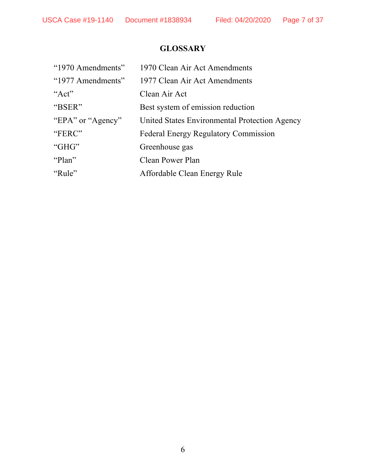# **GLOSSARY**

| "1970 Amendments" | 1970 Clean Air Act Amendments                 |
|-------------------|-----------------------------------------------|
| "1977 Amendments" | 1977 Clean Air Act Amendments                 |
| "Act"             | Clean Air Act                                 |
| "BSER"            | Best system of emission reduction             |
| "EPA" or "Agency" | United States Environmental Protection Agency |
| "FERC"            | <b>Federal Energy Regulatory Commission</b>   |
| "GHG"             | Greenhouse gas                                |
| "Plan"            | <b>Clean Power Plan</b>                       |
| "Rule"            | Affordable Clean Energy Rule                  |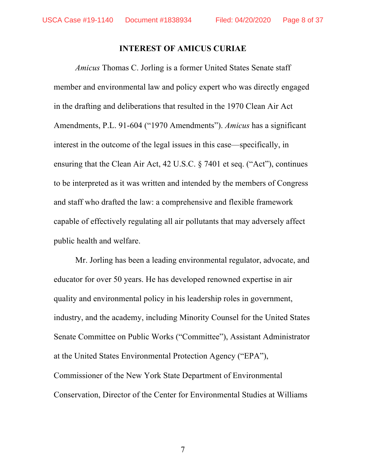#### **INTEREST OF AMICUS CURIAE**

*Amicus* Thomas C. Jorling is a former United States Senate staff member and environmental law and policy expert who was directly engaged in the drafting and deliberations that resulted in the 1970 Clean Air Act Amendments, P.L. 91-604 ("1970 Amendments"). *Amicus* has a significant interest in the outcome of the legal issues in this case—specifically, in ensuring that the Clean Air Act, 42 U.S.C. § 7401 et seq. ("Act"), continues to be interpreted as it was written and intended by the members of Congress and staff who drafted the law: a comprehensive and flexible framework capable of effectively regulating all air pollutants that may adversely affect public health and welfare.

Mr. Jorling has been a leading environmental regulator, advocate, and educator for over 50 years. He has developed renowned expertise in air quality and environmental policy in his leadership roles in government, industry, and the academy, including Minority Counsel for the United States Senate Committee on Public Works ("Committee"), Assistant Administrator at the United States Environmental Protection Agency ("EPA"), Commissioner of the New York State Department of Environmental Conservation, Director of the Center for Environmental Studies at Williams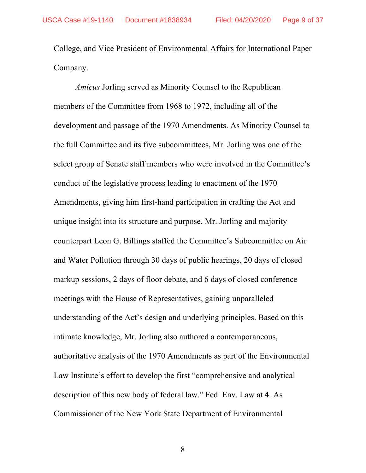College, and Vice President of Environmental Affairs for International Paper Company.

*Amicus* Jorling served as Minority Counsel to the Republican members of the Committee from 1968 to 1972, including all of the development and passage of the 1970 Amendments. As Minority Counsel to the full Committee and its five subcommittees, Mr. Jorling was one of the select group of Senate staff members who were involved in the Committee's conduct of the legislative process leading to enactment of the 1970 Amendments, giving him first-hand participation in crafting the Act and unique insight into its structure and purpose. Mr. Jorling and majority counterpart Leon G. Billings staffed the Committee's Subcommittee on Air and Water Pollution through 30 days of public hearings, 20 days of closed markup sessions, 2 days of floor debate, and 6 days of closed conference meetings with the House of Representatives, gaining unparalleled understanding of the Act's design and underlying principles. Based on this intimate knowledge, Mr. Jorling also authored a contemporaneous, authoritative analysis of the 1970 Amendments as part of the Environmental Law Institute's effort to develop the first "comprehensive and analytical description of this new body of federal law." Fed. Env. Law at 4. As Commissioner of the New York State Department of Environmental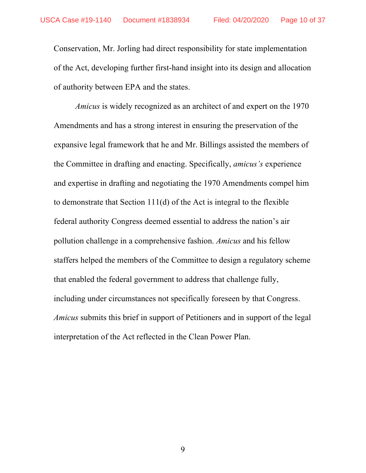Conservation, Mr. Jorling had direct responsibility for state implementation of the Act, developing further first-hand insight into its design and allocation of authority between EPA and the states.

*Amicus* is widely recognized as an architect of and expert on the 1970 Amendments and has a strong interest in ensuring the preservation of the expansive legal framework that he and Mr. Billings assisted the members of the Committee in drafting and enacting. Specifically, *amicus's* experience and expertise in drafting and negotiating the 1970 Amendments compel him to demonstrate that Section 111(d) of the Act is integral to the flexible federal authority Congress deemed essential to address the nation's air pollution challenge in a comprehensive fashion. *Amicus* and his fellow staffers helped the members of the Committee to design a regulatory scheme that enabled the federal government to address that challenge fully, including under circumstances not specifically foreseen by that Congress. *Amicus* submits this brief in support of Petitioners and in support of the legal interpretation of the Act reflected in the Clean Power Plan.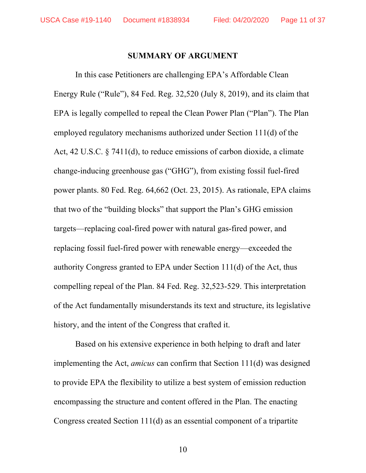#### **SUMMARY OF ARGUMENT**

In this case Petitioners are challenging EPA's Affordable Clean Energy Rule ("Rule"), 84 Fed. Reg. 32,520 (July 8, 2019), and its claim that EPA is legally compelled to repeal the Clean Power Plan ("Plan"). The Plan employed regulatory mechanisms authorized under Section 111(d) of the Act, 42 U.S.C. § 7411(d), to reduce emissions of carbon dioxide, a climate change-inducing greenhouse gas ("GHG"), from existing fossil fuel-fired power plants. 80 Fed. Reg. 64,662 (Oct. 23, 2015). As rationale, EPA claims that two of the "building blocks" that support the Plan's GHG emission targets—replacing coal-fired power with natural gas-fired power, and replacing fossil fuel-fired power with renewable energy—exceeded the authority Congress granted to EPA under Section 111(d) of the Act, thus compelling repeal of the Plan. 84 Fed. Reg. 32,523-529. This interpretation of the Act fundamentally misunderstands its text and structure, its legislative history, and the intent of the Congress that crafted it.

Based on his extensive experience in both helping to draft and later implementing the Act, *amicus* can confirm that Section 111(d) was designed to provide EPA the flexibility to utilize a best system of emission reduction encompassing the structure and content offered in the Plan. The enacting Congress created Section 111(d) as an essential component of a tripartite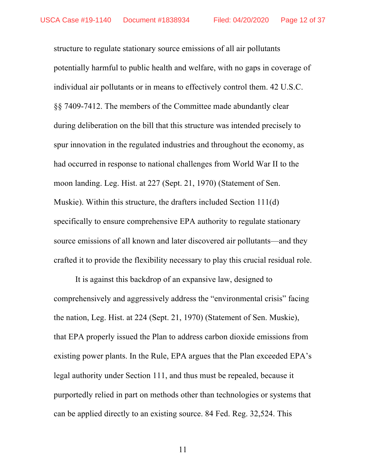structure to regulate stationary source emissions of all air pollutants potentially harmful to public health and welfare, with no gaps in coverage of individual air pollutants or in means to effectively control them. 42 U.S.C. §§ 7409-7412. The members of the Committee made abundantly clear during deliberation on the bill that this structure was intended precisely to spur innovation in the regulated industries and throughout the economy, as had occurred in response to national challenges from World War II to the moon landing. Leg. Hist. at 227 (Sept. 21, 1970) (Statement of Sen. Muskie). Within this structure, the drafters included Section 111(d) specifically to ensure comprehensive EPA authority to regulate stationary source emissions of all known and later discovered air pollutants—and they crafted it to provide the flexibility necessary to play this crucial residual role.

It is against this backdrop of an expansive law, designed to comprehensively and aggressively address the "environmental crisis" facing the nation, Leg. Hist. at 224 (Sept. 21, 1970) (Statement of Sen. Muskie), that EPA properly issued the Plan to address carbon dioxide emissions from existing power plants. In the Rule, EPA argues that the Plan exceeded EPA's legal authority under Section 111, and thus must be repealed, because it purportedly relied in part on methods other than technologies or systems that can be applied directly to an existing source. 84 Fed. Reg. 32,524. This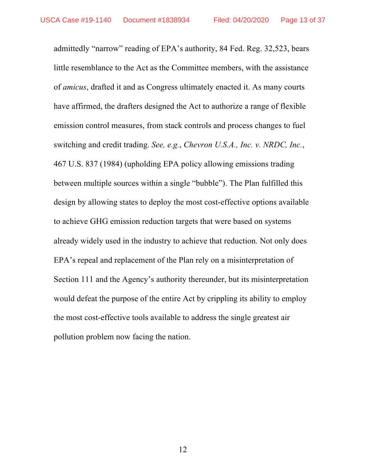admittedly "narrow" reading of EPA's authority, 84 Fed. Reg. 32,523, bears little resemblance to the Act as the Committee members, with the assistance of *amicus*, drafted it and as Congress ultimately enacted it. As many courts have affirmed, the drafters designed the Act to authorize a range of flexible emission control measures, from stack controls and process changes to fuel switching and credit trading. *See, e.g.*, *Chevron U.S.A., Inc. v. NRDC, Inc.*, 467 U.S. 837 (1984) (upholding EPA policy allowing emissions trading between multiple sources within a single "bubble"). The Plan fulfilled this design by allowing states to deploy the most cost-effective options available to achieve GHG emission reduction targets that were based on systems already widely used in the industry to achieve that reduction. Not only does EPA's repeal and replacement of the Plan rely on a misinterpretation of Section 111 and the Agency's authority thereunder, but its misinterpretation would defeat the purpose of the entire Act by crippling its ability to employ the most cost-effective tools available to address the single greatest air pollution problem now facing the nation.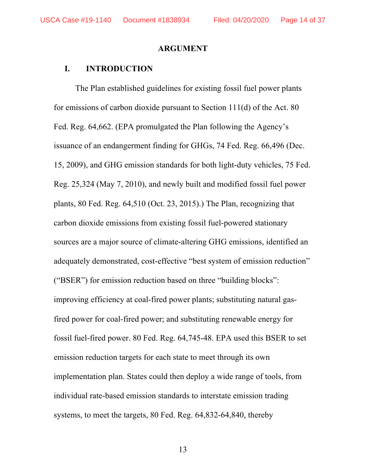USCA Case #19-1140 Document #1838934 Filed: 04/20/2020 Page 14 of 37

#### **ARGUMENT**

#### **I. INTRODUCTION**

The Plan established guidelines for existing fossil fuel power plants for emissions of carbon dioxide pursuant to Section 111(d) of the Act. 80 Fed. Reg. 64,662. (EPA promulgated the Plan following the Agency's issuance of an endangerment finding for GHGs, 74 Fed. Reg. 66,496 (Dec. 15, 2009), and GHG emission standards for both light-duty vehicles, 75 Fed. Reg. 25,324 (May 7, 2010), and newly built and modified fossil fuel power plants, 80 Fed. Reg. 64,510 (Oct. 23, 2015).) The Plan, recognizing that carbon dioxide emissions from existing fossil fuel-powered stationary sources are a major source of climate-altering GHG emissions, identified an adequately demonstrated, cost-effective "best system of emission reduction" ("BSER") for emission reduction based on three "building blocks": improving efficiency at coal-fired power plants; substituting natural gasfired power for coal-fired power; and substituting renewable energy for fossil fuel-fired power. 80 Fed. Reg. 64,745-48. EPA used this BSER to set emission reduction targets for each state to meet through its own implementation plan. States could then deploy a wide range of tools, from individual rate-based emission standards to interstate emission trading systems, to meet the targets, 80 Fed. Reg. 64,832-64,840, thereby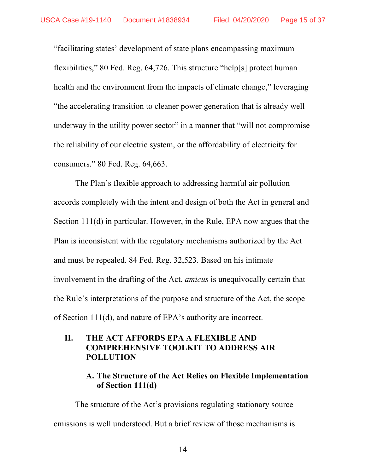"facilitating states' development of state plans encompassing maximum flexibilities," 80 Fed. Reg. 64,726. This structure "help[s] protect human health and the environment from the impacts of climate change," leveraging "the accelerating transition to cleaner power generation that is already well underway in the utility power sector" in a manner that "will not compromise the reliability of our electric system, or the affordability of electricity for consumers." 80 Fed. Reg. 64,663.

The Plan's flexible approach to addressing harmful air pollution accords completely with the intent and design of both the Act in general and Section 111(d) in particular. However, in the Rule, EPA now argues that the Plan is inconsistent with the regulatory mechanisms authorized by the Act and must be repealed. 84 Fed. Reg. 32,523. Based on his intimate involvement in the drafting of the Act, *amicus* is unequivocally certain that the Rule's interpretations of the purpose and structure of the Act, the scope of Section 111(d), and nature of EPA's authority are incorrect.

## **II. THE ACT AFFORDS EPA A FLEXIBLE AND COMPREHENSIVE TOOLKIT TO ADDRESS AIR POLLUTION**

## **A. The Structure of the Act Relies on Flexible Implementation of Section 111(d)**

The structure of the Act's provisions regulating stationary source emissions is well understood. But a brief review of those mechanisms is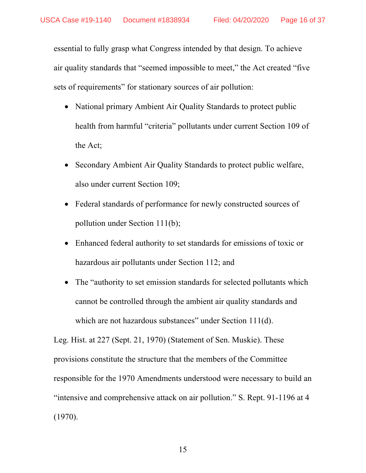essential to fully grasp what Congress intended by that design. To achieve air quality standards that "seemed impossible to meet," the Act created "five sets of requirements" for stationary sources of air pollution:

- National primary Ambient Air Quality Standards to protect public health from harmful "criteria" pollutants under current Section 109 of the Act;
- Secondary Ambient Air Quality Standards to protect public welfare, also under current Section 109;
- Federal standards of performance for newly constructed sources of pollution under Section 111(b);
- Enhanced federal authority to set standards for emissions of toxic or hazardous air pollutants under Section 112; and
- The "authority to set emission standards for selected pollutants which cannot be controlled through the ambient air quality standards and which are not hazardous substances" under Section 111(d).

Leg. Hist. at 227 (Sept. 21, 1970) (Statement of Sen. Muskie). These provisions constitute the structure that the members of the Committee responsible for the 1970 Amendments understood were necessary to build an "intensive and comprehensive attack on air pollution." S. Rept. 91-1196 at 4 (1970).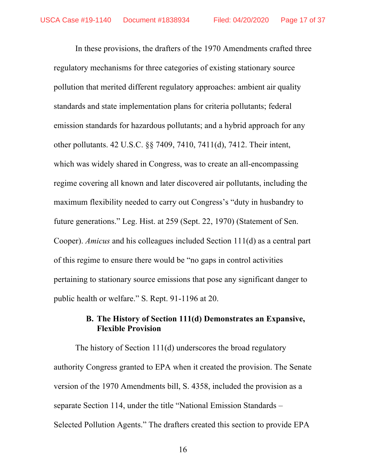In these provisions, the drafters of the 1970 Amendments crafted three regulatory mechanisms for three categories of existing stationary source pollution that merited different regulatory approaches: ambient air quality standards and state implementation plans for criteria pollutants; federal emission standards for hazardous pollutants; and a hybrid approach for any other pollutants. 42 U.S.C. §§ 7409, 7410, 7411(d), 7412. Their intent, which was widely shared in Congress, was to create an all-encompassing regime covering all known and later discovered air pollutants, including the maximum flexibility needed to carry out Congress's "duty in husbandry to future generations." Leg. Hist. at 259 (Sept. 22, 1970) (Statement of Sen. Cooper). *Amicus* and his colleagues included Section 111(d) as a central part of this regime to ensure there would be "no gaps in control activities pertaining to stationary source emissions that pose any significant danger to public health or welfare." S. Rept. 91-1196 at 20.

## **B. The History of Section 111(d) Demonstrates an Expansive, Flexible Provision**

The history of Section 111(d) underscores the broad regulatory authority Congress granted to EPA when it created the provision. The Senate version of the 1970 Amendments bill, S. 4358, included the provision as a separate Section 114, under the title "National Emission Standards – Selected Pollution Agents." The drafters created this section to provide EPA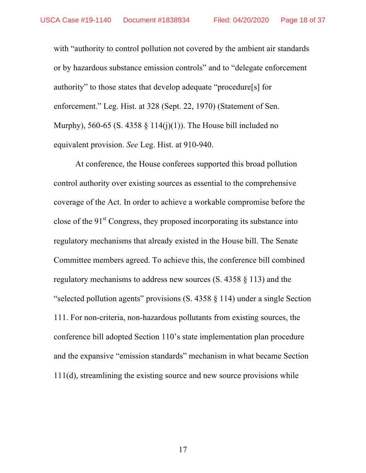with "authority to control pollution not covered by the ambient air standards or by hazardous substance emission controls" and to "delegate enforcement authority" to those states that develop adequate "procedure[s] for enforcement." Leg. Hist. at 328 (Sept. 22, 1970) (Statement of Sen. Murphy), 560-65 (S. 4358  $\S$  114(j)(1)). The House bill included no equivalent provision. *See* Leg. Hist. at 910-940.

At conference, the House conferees supported this broad pollution control authority over existing sources as essential to the comprehensive coverage of the Act. In order to achieve a workable compromise before the close of the  $91<sup>st</sup>$  Congress, they proposed incorporating its substance into regulatory mechanisms that already existed in the House bill. The Senate Committee members agreed. To achieve this, the conference bill combined regulatory mechanisms to address new sources (S. 4358 § 113) and the "selected pollution agents" provisions (S. 4358 § 114) under a single Section 111. For non-criteria, non-hazardous pollutants from existing sources, the conference bill adopted Section 110's state implementation plan procedure and the expansive "emission standards" mechanism in what became Section 111(d), streamlining the existing source and new source provisions while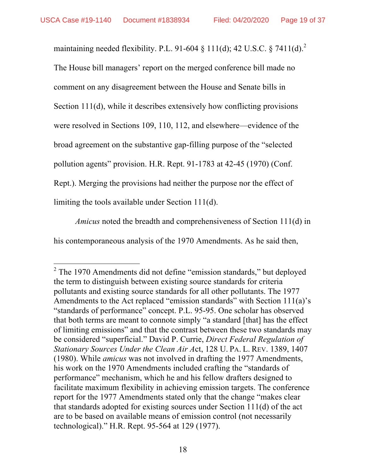maintaining needed flexibility. P.L. 91-604  $\S$  111(d); 42 U.S.C.  $\S$  7411(d).<sup>2</sup> The House bill managers' report on the merged conference bill made no comment on any disagreement between the House and Senate bills in Section 111(d), while it describes extensively how conflicting provisions were resolved in Sections 109, 110, 112, and elsewhere—evidence of the broad agreement on the substantive gap-filling purpose of the "selected pollution agents" provision. H.R. Rept. 91-1783 at 42-45 (1970) (Conf. Rept.). Merging the provisions had neither the purpose nor the effect of limiting the tools available under Section 111(d).

*Amicus* noted the breadth and comprehensiveness of Section 111(d) in his contemporaneous analysis of the 1970 Amendments. As he said then,

 $2$  The 1970 Amendments did not define "emission standards," but deployed the term to distinguish between existing source standards for criteria pollutants and existing source standards for all other pollutants. The 1977 Amendments to the Act replaced "emission standards" with Section 111(a)'s "standards of performance" concept. P.L. 95-95. One scholar has observed that both terms are meant to connote simply "a standard [that] has the effect of limiting emissions" and that the contrast between these two standards may be considered "superficial." David P. Currie, *Direct Federal Regulation of Stationary Sources Under the Clean Air A*ct, 128 U. PA. L. REV. 1389, 1407 (1980). While *amicus* was not involved in drafting the 1977 Amendments, his work on the 1970 Amendments included crafting the "standards of performance" mechanism, which he and his fellow drafters designed to facilitate maximum flexibility in achieving emission targets. The conference report for the 1977 Amendments stated only that the change "makes clear that standards adopted for existing sources under Section 111(d) of the act are to be based on available means of emission control (not necessarily technological)." H.R. Rept. 95-564 at 129 (1977).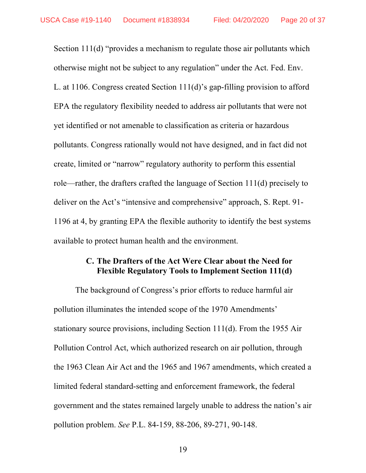Section 111(d) "provides a mechanism to regulate those air pollutants which otherwise might not be subject to any regulation" under the Act. Fed. Env. L. at 1106. Congress created Section 111(d)'s gap-filling provision to afford EPA the regulatory flexibility needed to address air pollutants that were not yet identified or not amenable to classification as criteria or hazardous pollutants. Congress rationally would not have designed, and in fact did not create, limited or "narrow" regulatory authority to perform this essential role—rather, the drafters crafted the language of Section 111(d) precisely to deliver on the Act's "intensive and comprehensive" approach, S. Rept. 91- 1196 at 4, by granting EPA the flexible authority to identify the best systems available to protect human health and the environment.

### **C. The Drafters of the Act Were Clear about the Need for Flexible Regulatory Tools to Implement Section 111(d)**

The background of Congress's prior efforts to reduce harmful air pollution illuminates the intended scope of the 1970 Amendments' stationary source provisions, including Section 111(d). From the 1955 Air Pollution Control Act, which authorized research on air pollution, through the 1963 Clean Air Act and the 1965 and 1967 amendments, which created a limited federal standard-setting and enforcement framework, the federal government and the states remained largely unable to address the nation's air pollution problem. *See* P.L. 84-159, 88-206, 89-271, 90-148.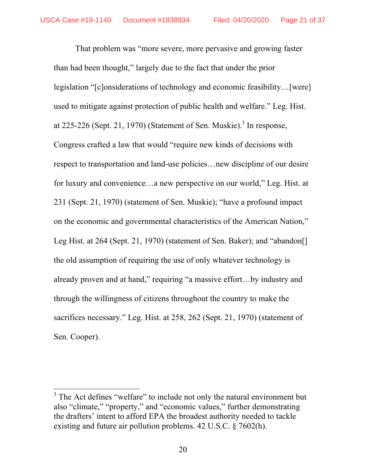That problem was "more severe, more pervasive and growing faster than had been thought," largely due to the fact that under the prior legislation "[c]onsiderations of technology and economic feasibility…[were] used to mitigate against protection of public health and welfare." Leg. Hist. at 225-226 (Sept. 21, 1970) (Statement of Sen. Muskie).<sup>3</sup> In response, Congress crafted a law that would "require new kinds of decisions with respect to transportation and land-use policies…new discipline of our desire for luxury and convenience…a new perspective on our world," Leg. Hist. at 231 (Sept. 21, 1970) (statement of Sen. Muskie); "have a profound impact on the economic and governmental characteristics of the American Nation," Leg Hist. at 264 (Sept. 21, 1970) (statement of Sen. Baker); and "abandon. the old assumption of requiring the use of only whatever technology is already proven and at hand," requiring "a massive effort…by industry and through the willingness of citizens throughout the country to make the sacrifices necessary." Leg. Hist. at 258, 262 (Sept. 21, 1970) (statement of Sen. Cooper).

 $3$  The Act defines "welfare" to include not only the natural environment but also "climate," "property," and "economic values," further demonstrating the drafters' intent to afford EPA the broadest authority needed to tackle existing and future air pollution problems. 42 U.S.C. § 7602(h).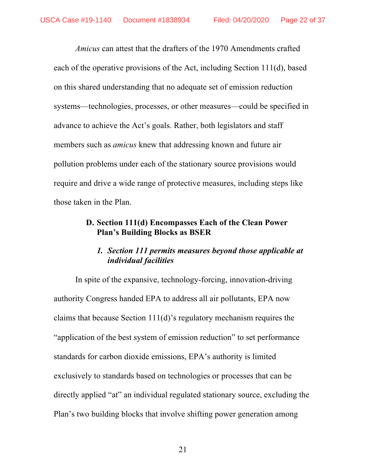*Amicus* can attest that the drafters of the 1970 Amendments crafted each of the operative provisions of the Act, including Section 111(d), based on this shared understanding that no adequate set of emission reduction systems—technologies, processes, or other measures—could be specified in advance to achieve the Act's goals. Rather, both legislators and staff members such as *amicus* knew that addressing known and future air pollution problems under each of the stationary source provisions would require and drive a wide range of protective measures, including steps like those taken in the Plan.

## **D. Section 111(d) Encompasses Each of the Clean Power Plan's Building Blocks as BSER**

# *1. Section 111 permits measures beyond those applicable at individual facilities*

In spite of the expansive, technology-forcing, innovation-driving authority Congress handed EPA to address all air pollutants, EPA now claims that because Section 111(d)'s regulatory mechanism requires the "application of the best system of emission reduction" to set performance standards for carbon dioxide emissions, EPA's authority is limited exclusively to standards based on technologies or processes that can be directly applied "at" an individual regulated stationary source, excluding the Plan's two building blocks that involve shifting power generation among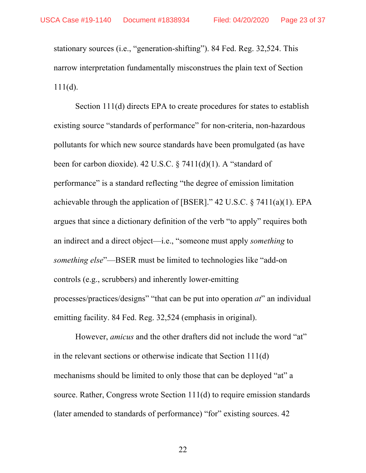stationary sources (i.e., "generation-shifting"). 84 Fed. Reg. 32,524. This narrow interpretation fundamentally misconstrues the plain text of Section  $111(d)$ .

Section 111(d) directs EPA to create procedures for states to establish existing source "standards of performance" for non-criteria, non-hazardous pollutants for which new source standards have been promulgated (as have been for carbon dioxide). 42 U.S.C. § 7411(d)(1). A "standard of performance" is a standard reflecting "the degree of emission limitation achievable through the application of [BSER]." 42 U.S.C. § 7411(a)(1). EPA argues that since a dictionary definition of the verb "to apply" requires both an indirect and a direct object—i.e., "someone must apply *something* to *something else*"—BSER must be limited to technologies like "add-on controls (e.g., scrubbers) and inherently lower-emitting processes/practices/designs" "that can be put into operation *at*" an individual emitting facility. 84 Fed. Reg. 32,524 (emphasis in original).

However, *amicus* and the other drafters did not include the word "at" in the relevant sections or otherwise indicate that Section 111(d) mechanisms should be limited to only those that can be deployed "at" a source. Rather, Congress wrote Section 111(d) to require emission standards (later amended to standards of performance) "for" existing sources. 42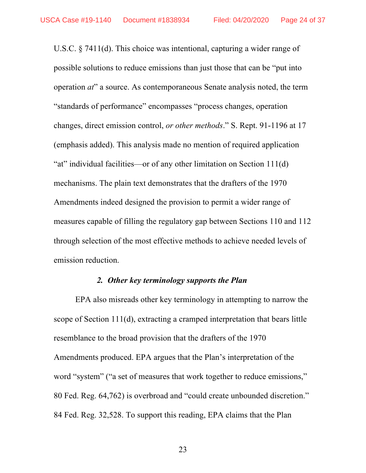U.S.C. § 7411(d). This choice was intentional, capturing a wider range of possible solutions to reduce emissions than just those that can be "put into operation *at*" a source. As contemporaneous Senate analysis noted, the term "standards of performance" encompasses "process changes, operation changes, direct emission control, *or other methods*." S. Rept. 91-1196 at 17 (emphasis added). This analysis made no mention of required application "at" individual facilities—or of any other limitation on Section 111(d) mechanisms. The plain text demonstrates that the drafters of the 1970 Amendments indeed designed the provision to permit a wider range of measures capable of filling the regulatory gap between Sections 110 and 112 through selection of the most effective methods to achieve needed levels of emission reduction.

#### *2. Other key terminology supports the Plan*

EPA also misreads other key terminology in attempting to narrow the scope of Section 111(d), extracting a cramped interpretation that bears little resemblance to the broad provision that the drafters of the 1970 Amendments produced. EPA argues that the Plan's interpretation of the word "system" ("a set of measures that work together to reduce emissions," 80 Fed. Reg. 64,762) is overbroad and "could create unbounded discretion." 84 Fed. Reg. 32,528. To support this reading, EPA claims that the Plan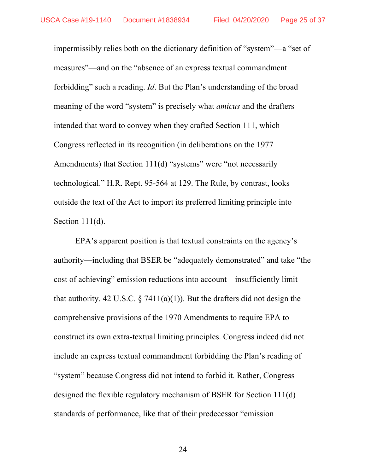impermissibly relies both on the dictionary definition of "system"—a "set of measures"—and on the "absence of an express textual commandment forbidding" such a reading. *Id*. But the Plan's understanding of the broad meaning of the word "system" is precisely what *amicus* and the drafters intended that word to convey when they crafted Section 111, which Congress reflected in its recognition (in deliberations on the 1977 Amendments) that Section 111(d) "systems" were "not necessarily technological." H.R. Rept. 95-564 at 129. The Rule, by contrast, looks outside the text of the Act to import its preferred limiting principle into Section 111(d).

EPA's apparent position is that textual constraints on the agency's authority—including that BSER be "adequately demonstrated" and take "the cost of achieving" emission reductions into account—insufficiently limit that authority. 42 U.S.C.  $\S$  7411(a)(1)). But the drafters did not design the comprehensive provisions of the 1970 Amendments to require EPA to construct its own extra-textual limiting principles. Congress indeed did not include an express textual commandment forbidding the Plan's reading of "system" because Congress did not intend to forbid it. Rather, Congress designed the flexible regulatory mechanism of BSER for Section 111(d) standards of performance, like that of their predecessor "emission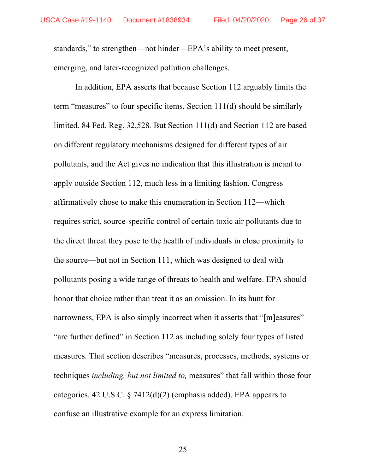standards," to strengthen—not hinder—EPA's ability to meet present, emerging, and later-recognized pollution challenges.

In addition, EPA asserts that because Section 112 arguably limits the term "measures" to four specific items, Section 111(d) should be similarly limited. 84 Fed. Reg. 32,528*.* But Section 111(d) and Section 112 are based on different regulatory mechanisms designed for different types of air pollutants, and the Act gives no indication that this illustration is meant to apply outside Section 112, much less in a limiting fashion. Congress affirmatively chose to make this enumeration in Section 112—which requires strict, source-specific control of certain toxic air pollutants due to the direct threat they pose to the health of individuals in close proximity to the source—but not in Section 111, which was designed to deal with pollutants posing a wide range of threats to health and welfare. EPA should honor that choice rather than treat it as an omission. In its hunt for narrowness, EPA is also simply incorrect when it asserts that "[m]easures" "are further defined" in Section 112 as including solely four types of listed measures. That section describes "measures, processes, methods, systems or techniques *including, but not limited to,* measures" that fall within those four categories. 42 U.S.C. § 7412(d)(2) (emphasis added). EPA appears to confuse an illustrative example for an express limitation.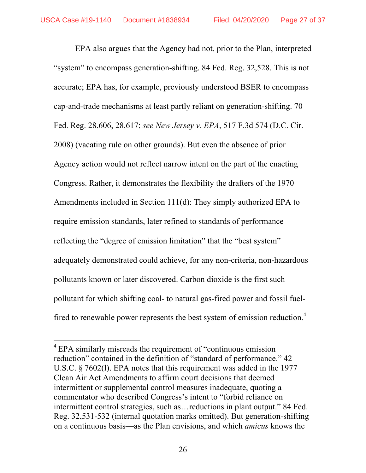EPA also argues that the Agency had not, prior to the Plan, interpreted "system" to encompass generation-shifting. 84 Fed. Reg. 32,528. This is not accurate; EPA has, for example, previously understood BSER to encompass cap-and-trade mechanisms at least partly reliant on generation-shifting. 70 Fed. Reg. 28,606, 28,617; *see New Jersey v. EPA*, 517 F.3d 574 (D.C. Cir. 2008) (vacating rule on other grounds). But even the absence of prior Agency action would not reflect narrow intent on the part of the enacting Congress. Rather, it demonstrates the flexibility the drafters of the 1970 Amendments included in Section 111(d): They simply authorized EPA to require emission standards, later refined to standards of performance reflecting the "degree of emission limitation" that the "best system" adequately demonstrated could achieve, for any non-criteria, non-hazardous pollutants known or later discovered. Carbon dioxide is the first such pollutant for which shifting coal- to natural gas-fired power and fossil fuelfired to renewable power represents the best system of emission reduction.<sup>4</sup>

<sup>&</sup>lt;sup>4</sup> EPA similarly misreads the requirement of "continuous emission" reduction" contained in the definition of "standard of performance." 42 U.S.C. § 7602(l). EPA notes that this requirement was added in the 1977 Clean Air Act Amendments to affirm court decisions that deemed intermittent or supplemental control measures inadequate, quoting a commentator who described Congress's intent to "forbid reliance on intermittent control strategies, such as…reductions in plant output." 84 Fed. Reg. 32,531-532 (internal quotation marks omitted). But generation-shifting on a continuous basis—as the Plan envisions, and which *amicus* knows the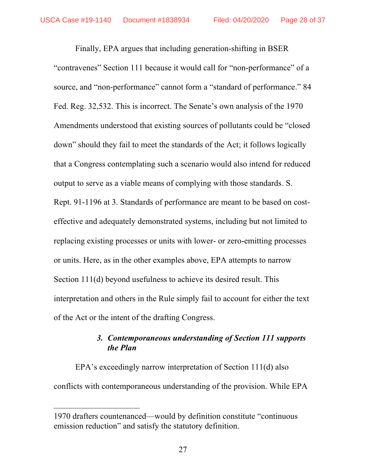Finally, EPA argues that including generation-shifting in BSER "contravenes" Section 111 because it would call for "non-performance" of a source, and "non-performance" cannot form a "standard of performance." 84 Fed. Reg. 32,532. This is incorrect. The Senate's own analysis of the 1970 Amendments understood that existing sources of pollutants could be "closed down" should they fail to meet the standards of the Act; it follows logically that a Congress contemplating such a scenario would also intend for reduced output to serve as a viable means of complying with those standards. S. Rept. 91-1196 at 3. Standards of performance are meant to be based on costeffective and adequately demonstrated systems, including but not limited to replacing existing processes or units with lower- or zero-emitting processes or units. Here, as in the other examples above, EPA attempts to narrow Section 111(d) beyond usefulness to achieve its desired result. This interpretation and others in the Rule simply fail to account for either the text of the Act or the intent of the drafting Congress.

## *3. Contemporaneous understanding of Section 111 supports the Plan*

EPA's exceedingly narrow interpretation of Section 111(d) also conflicts with contemporaneous understanding of the provision. While EPA

l

<sup>1970</sup> drafters countenanced—would by definition constitute "continuous emission reduction" and satisfy the statutory definition.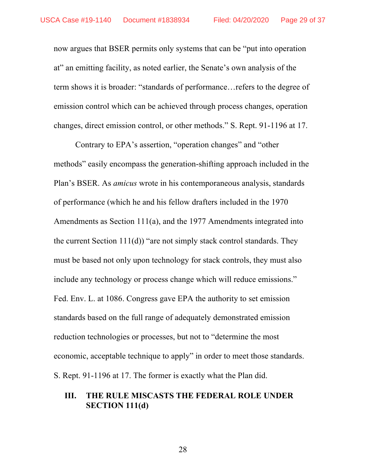now argues that BSER permits only systems that can be "put into operation at" an emitting facility, as noted earlier, the Senate's own analysis of the term shows it is broader: "standards of performance…refers to the degree of emission control which can be achieved through process changes, operation changes, direct emission control, or other methods." S. Rept. 91-1196 at 17.

Contrary to EPA's assertion, "operation changes" and "other methods" easily encompass the generation-shifting approach included in the Plan's BSER. As *amicus* wrote in his contemporaneous analysis, standards of performance (which he and his fellow drafters included in the 1970 Amendments as Section 111(a), and the 1977 Amendments integrated into the current Section  $111(d)$  "are not simply stack control standards. They must be based not only upon technology for stack controls, they must also include any technology or process change which will reduce emissions." Fed. Env. L. at 1086. Congress gave EPA the authority to set emission standards based on the full range of adequately demonstrated emission reduction technologies or processes, but not to "determine the most economic, acceptable technique to apply" in order to meet those standards. S. Rept. 91-1196 at 17. The former is exactly what the Plan did.

### **III. THE RULE MISCASTS THE FEDERAL ROLE UNDER SECTION 111(d)**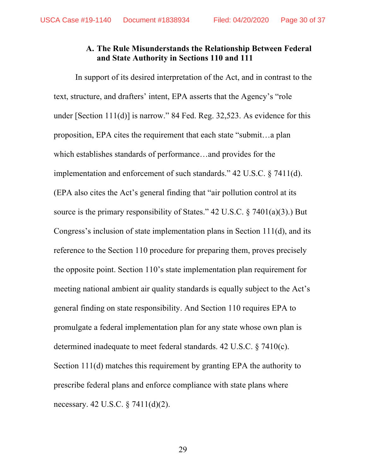### **A. The Rule Misunderstands the Relationship Between Federal and State Authority in Sections 110 and 111**

In support of its desired interpretation of the Act, and in contrast to the text, structure, and drafters' intent, EPA asserts that the Agency's "role under [Section 111(d)] is narrow." 84 Fed. Reg. 32,523. As evidence for this proposition, EPA cites the requirement that each state "submit…a plan which establishes standards of performance…and provides for the implementation and enforcement of such standards." 42 U.S.C. § 7411(d). (EPA also cites the Act's general finding that "air pollution control at its source is the primary responsibility of States." 42 U.S.C.  $\S$  7401(a)(3).) But Congress's inclusion of state implementation plans in Section 111(d), and its reference to the Section 110 procedure for preparing them, proves precisely the opposite point. Section 110's state implementation plan requirement for meeting national ambient air quality standards is equally subject to the Act's general finding on state responsibility. And Section 110 requires EPA to promulgate a federal implementation plan for any state whose own plan is determined inadequate to meet federal standards. 42 U.S.C. § 7410(c). Section 111(d) matches this requirement by granting EPA the authority to prescribe federal plans and enforce compliance with state plans where necessary. 42 U.S.C. § 7411(d)(2).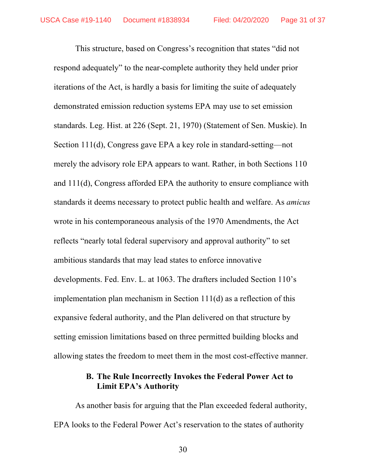This structure, based on Congress's recognition that states "did not respond adequately" to the near-complete authority they held under prior iterations of the Act, is hardly a basis for limiting the suite of adequately demonstrated emission reduction systems EPA may use to set emission standards. Leg. Hist. at 226 (Sept. 21, 1970) (Statement of Sen. Muskie). In Section 111(d), Congress gave EPA a key role in standard-setting—not merely the advisory role EPA appears to want. Rather, in both Sections 110 and 111(d), Congress afforded EPA the authority to ensure compliance with standards it deems necessary to protect public health and welfare. As *amicus*  wrote in his contemporaneous analysis of the 1970 Amendments, the Act reflects "nearly total federal supervisory and approval authority" to set ambitious standards that may lead states to enforce innovative developments. Fed. Env. L. at 1063. The drafters included Section 110's implementation plan mechanism in Section 111(d) as a reflection of this expansive federal authority, and the Plan delivered on that structure by setting emission limitations based on three permitted building blocks and allowing states the freedom to meet them in the most cost-effective manner.

# **B. The Rule Incorrectly Invokes the Federal Power Act to Limit EPA's Authority**

As another basis for arguing that the Plan exceeded federal authority, EPA looks to the Federal Power Act's reservation to the states of authority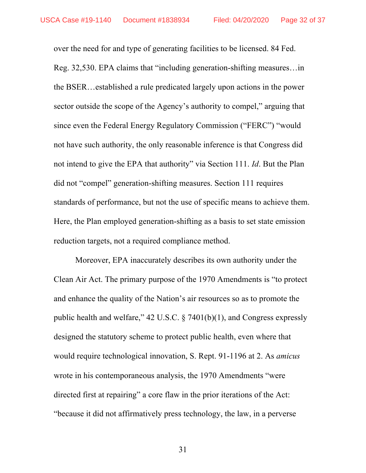over the need for and type of generating facilities to be licensed. 84 Fed. Reg. 32,530. EPA claims that "including generation-shifting measures…in the BSER…established a rule predicated largely upon actions in the power sector outside the scope of the Agency's authority to compel," arguing that since even the Federal Energy Regulatory Commission ("FERC") "would not have such authority, the only reasonable inference is that Congress did not intend to give the EPA that authority" via Section 111. *Id*. But the Plan did not "compel" generation-shifting measures. Section 111 requires standards of performance, but not the use of specific means to achieve them. Here, the Plan employed generation-shifting as a basis to set state emission reduction targets, not a required compliance method.

Moreover, EPA inaccurately describes its own authority under the Clean Air Act. The primary purpose of the 1970 Amendments is "to protect and enhance the quality of the Nation's air resources so as to promote the public health and welfare," 42 U.S.C. § 7401(b)(1), and Congress expressly designed the statutory scheme to protect public health, even where that would require technological innovation, S. Rept. 91-1196 at 2. As *amicus*  wrote in his contemporaneous analysis, the 1970 Amendments "were directed first at repairing" a core flaw in the prior iterations of the Act: "because it did not affirmatively press technology, the law, in a perverse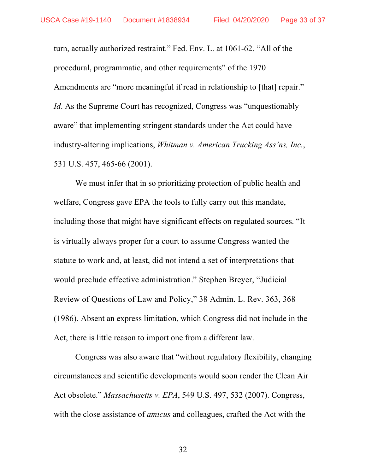turn, actually authorized restraint." Fed. Env. L. at 1061-62. "All of the procedural, programmatic, and other requirements" of the 1970 Amendments are "more meaningful if read in relationship to [that] repair." *Id*. As the Supreme Court has recognized, Congress was "unquestionably" aware" that implementing stringent standards under the Act could have industry-altering implications, *Whitman v. American Trucking Ass'ns, Inc.*, 531 U.S. 457, 465-66 (2001).

We must infer that in so prioritizing protection of public health and welfare, Congress gave EPA the tools to fully carry out this mandate, including those that might have significant effects on regulated sources. "It is virtually always proper for a court to assume Congress wanted the statute to work and, at least, did not intend a set of interpretations that would preclude effective administration." Stephen Breyer, "Judicial Review of Questions of Law and Policy," 38 Admin. L. Rev. 363, 368 (1986). Absent an express limitation, which Congress did not include in the Act, there is little reason to import one from a different law.

Congress was also aware that "without regulatory flexibility, changing circumstances and scientific developments would soon render the Clean Air Act obsolete." *Massachusetts v. EPA*, 549 U.S. 497, 532 (2007). Congress, with the close assistance of *amicus* and colleagues, crafted the Act with the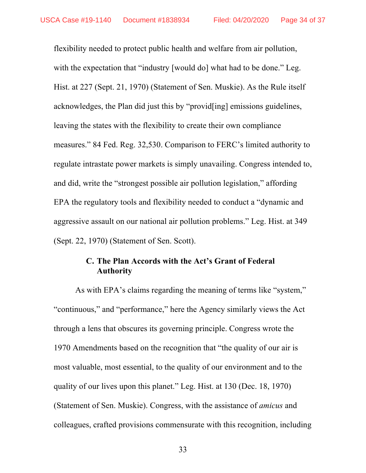flexibility needed to protect public health and welfare from air pollution, with the expectation that "industry [would do] what had to be done." Leg. Hist. at 227 (Sept. 21, 1970) (Statement of Sen. Muskie). As the Rule itself acknowledges, the Plan did just this by "provid[ing] emissions guidelines, leaving the states with the flexibility to create their own compliance measures." 84 Fed. Reg. 32,530. Comparison to FERC's limited authority to regulate intrastate power markets is simply unavailing. Congress intended to, and did, write the "strongest possible air pollution legislation," affording EPA the regulatory tools and flexibility needed to conduct a "dynamic and aggressive assault on our national air pollution problems." Leg. Hist. at 349 (Sept. 22, 1970) (Statement of Sen. Scott).

## **C. The Plan Accords with the Act's Grant of Federal Authority**

As with EPA's claims regarding the meaning of terms like "system," "continuous," and "performance," here the Agency similarly views the Act through a lens that obscures its governing principle. Congress wrote the 1970 Amendments based on the recognition that "the quality of our air is most valuable, most essential, to the quality of our environment and to the quality of our lives upon this planet." Leg. Hist. at 130 (Dec. 18, 1970) (Statement of Sen. Muskie). Congress, with the assistance of *amicus* and colleagues, crafted provisions commensurate with this recognition, including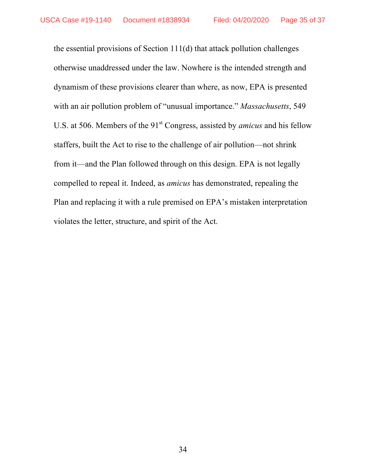the essential provisions of Section 111(d) that attack pollution challenges otherwise unaddressed under the law. Nowhere is the intended strength and dynamism of these provisions clearer than where, as now, EPA is presented with an air pollution problem of "unusual importance." *Massachusetts*, 549 U.S. at 506. Members of the 91<sup>st</sup> Congress, assisted by *amicus* and his fellow staffers, built the Act to rise to the challenge of air pollution—not shrink from it—and the Plan followed through on this design. EPA is not legally compelled to repeal it. Indeed, as *amicus* has demonstrated, repealing the Plan and replacing it with a rule premised on EPA's mistaken interpretation violates the letter, structure, and spirit of the Act.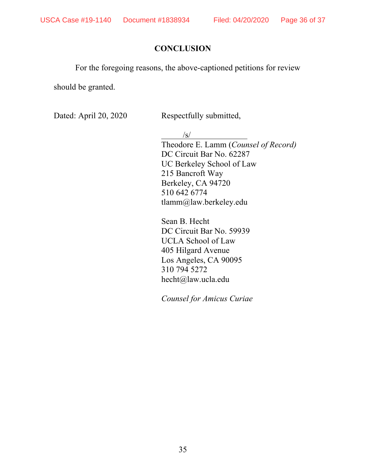# **CONCLUSION**

For the foregoing reasons, the above-captioned petitions for review

should be granted.

Dated: April 20, 2020 Respectfully submitted,

 $\sqrt{s}$ 

Theodore E. Lamm (*Counsel of Record)* DC Circuit Bar No. 62287 UC Berkeley School of Law 215 Bancroft Way Berkeley, CA 94720 510 642 6774 tlamm@law.berkeley.edu

Sean B. Hecht DC Circuit Bar No. 59939 UCLA School of Law 405 Hilgard Avenue Los Angeles, CA 90095 310 794 5272 hecht@law.ucla.edu

*Counsel for Amicus Curiae*